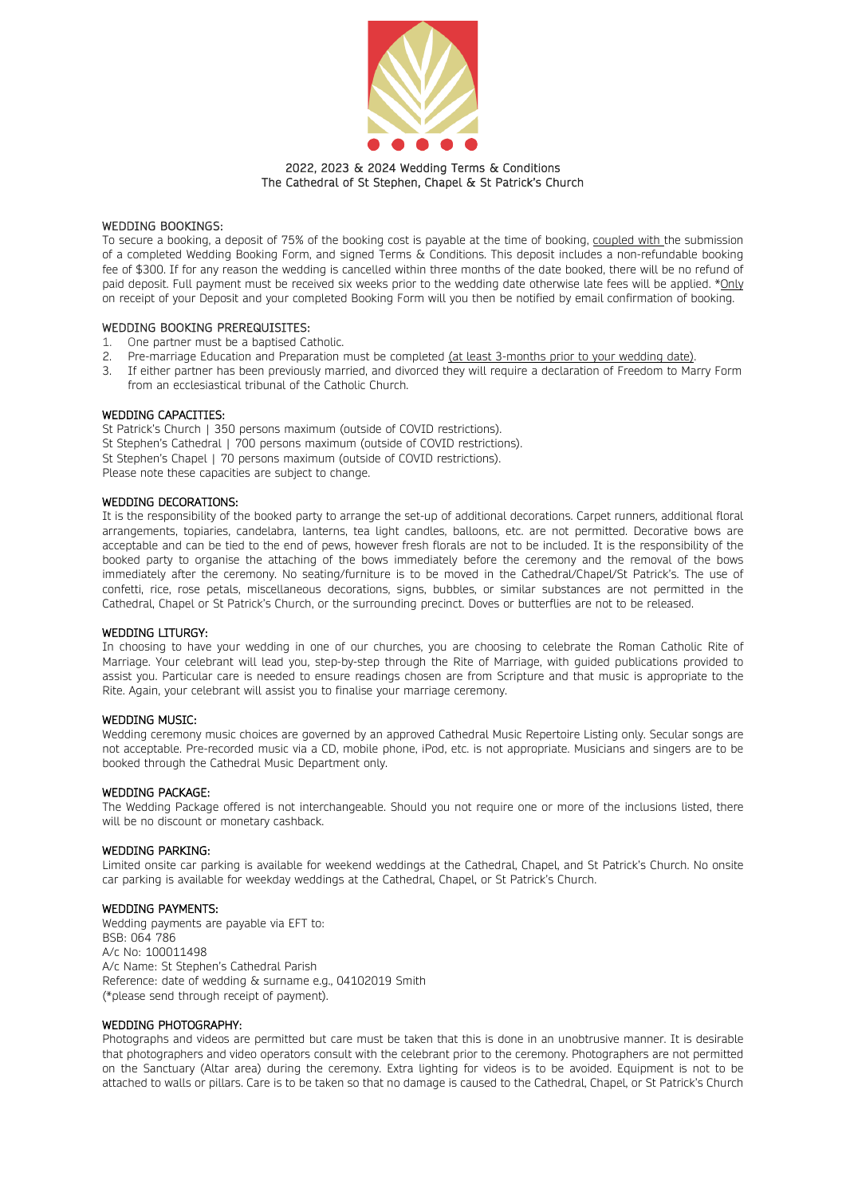

### 2022, 2023 & 2024 Wedding Terms & Conditions The Cathedral of St Stephen, Chapel & St Patrick's Church

#### WEDDING BOOKINGS:

To secure a booking, a deposit of 75% of the booking cost is payable at the time of booking, coupled with the submission of a completed Wedding Booking Form, and signed Terms & Conditions. This deposit includes a non-refundable booking fee of \$300. If for any reason the wedding is cancelled within three months of the date booked, there will be no refund of paid deposit. Full payment must be received six weeks prior to the wedding date otherwise late fees will be applied. \*Only on receipt of your Deposit and your completed Booking Form will you then be notified by email confirmation of booking.

#### WEDDING BOOKING PREREQUISITES:

- 1. One partner must be a baptised Catholic.
- 2. Pre-marriage Education and Preparation must be completed (at least 3-months prior to your wedding date).
- 3. If either partner has been previously married, and divorced they will require a declaration of Freedom to Marry Form from an ecclesiastical tribunal of the Catholic Church.

## WEDDING CAPACITIES:

St Patrick's Church | 350 persons maximum (outside of COVID restrictions). St Stephen's Cathedral | 700 persons maximum (outside of COVID restrictions). St Stephen's Chapel | 70 persons maximum (outside of COVID restrictions). Please note these capacities are subject to change.

#### WEDDING DECORATIONS:

It is the responsibility of the booked party to arrange the set-up of additional decorations. Carpet runners, additional floral arrangements, topiaries, candelabra, lanterns, tea light candles, balloons, etc. are not permitted. Decorative bows are acceptable and can be tied to the end of pews, however fresh florals are not to be included. It is the responsibility of the booked party to organise the attaching of the bows immediately before the ceremony and the removal of the bows immediately after the ceremony. No seating/furniture is to be moved in the Cathedral/Chapel/St Patrick's. The use of confetti, rice, rose petals, miscellaneous decorations, signs, bubbles, or similar substances are not permitted in the Cathedral, Chapel or St Patrick's Church, or the surrounding precinct. Doves or butterflies are not to be released.

#### WEDDING LITURGY:

In choosing to have your wedding in one of our churches, you are choosing to celebrate the Roman Catholic Rite of Marriage. Your celebrant will lead you, step-by-step through the Rite of Marriage, with guided publications provided to assist you. Particular care is needed to ensure readings chosen are from Scripture and that music is appropriate to the Rite. Again, your celebrant will assist you to finalise your marriage ceremony.

#### WEDDING MUSIC:

Wedding ceremony music choices are governed by an approved Cathedral Music Repertoire Listing only. Secular songs are not acceptable. Pre-recorded music via a CD, mobile phone, iPod, etc. is not appropriate. Musicians and singers are to be booked through the Cathedral Music Department only.

#### WEDDING PACKAGE:

The Wedding Package offered is not interchangeable. Should you not require one or more of the inclusions listed, there will be no discount or monetary cashback.

#### WEDDING PARKING:

Limited onsite car parking is available for weekend weddings at the Cathedral, Chapel, and St Patrick's Church. No onsite car parking is available for weekday weddings at the Cathedral, Chapel, or St Patrick's Church.

#### WEDDING PAYMENTS:

Wedding payments are payable via EFT to: BSB: 064 786 A/c No: 100011498 A/c Name: St Stephen's Cathedral Parish Reference: date of wedding & surname e.g., 04102019 Smith (\*please send through receipt of payment).

#### WEDDING PHOTOGRAPHY:

Photographs and videos are permitted but care must be taken that this is done in an unobtrusive manner. It is desirable that photographers and video operators consult with the celebrant prior to the ceremony. Photographers are not permitted on the Sanctuary (Altar area) during the ceremony. Extra lighting for videos is to be avoided. Equipment is not to be attached to walls or pillars. Care is to be taken so that no damage is caused to the Cathedral, Chapel, or St Patrick's Church